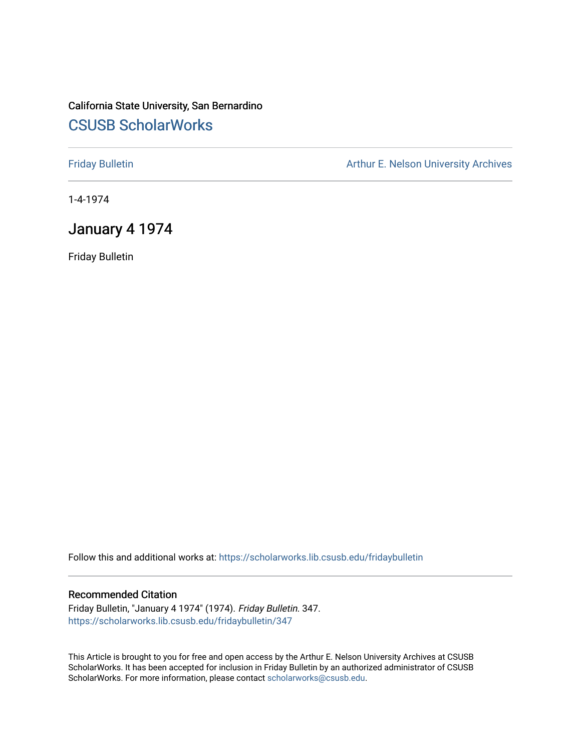## California State University, San Bernardino [CSUSB ScholarWorks](https://scholarworks.lib.csusb.edu/)

[Friday Bulletin](https://scholarworks.lib.csusb.edu/fridaybulletin) **Arthur E. Nelson University Archives** Arthur E. Nelson University Archives

1-4-1974

## January 4 1974

Friday Bulletin

Follow this and additional works at: [https://scholarworks.lib.csusb.edu/fridaybulletin](https://scholarworks.lib.csusb.edu/fridaybulletin?utm_source=scholarworks.lib.csusb.edu%2Ffridaybulletin%2F347&utm_medium=PDF&utm_campaign=PDFCoverPages)

### Recommended Citation

Friday Bulletin, "January 4 1974" (1974). Friday Bulletin. 347. [https://scholarworks.lib.csusb.edu/fridaybulletin/347](https://scholarworks.lib.csusb.edu/fridaybulletin/347?utm_source=scholarworks.lib.csusb.edu%2Ffridaybulletin%2F347&utm_medium=PDF&utm_campaign=PDFCoverPages)

This Article is brought to you for free and open access by the Arthur E. Nelson University Archives at CSUSB ScholarWorks. It has been accepted for inclusion in Friday Bulletin by an authorized administrator of CSUSB ScholarWorks. For more information, please contact [scholarworks@csusb.edu.](mailto:scholarworks@csusb.edu)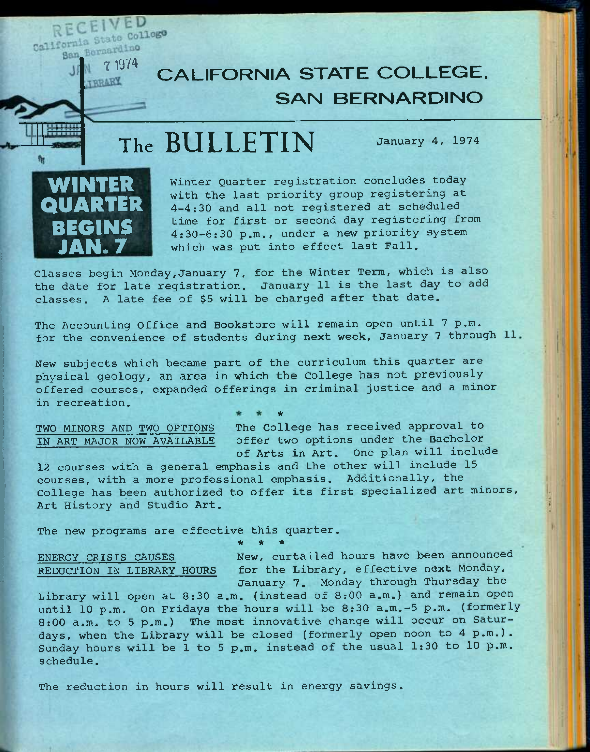CEIVED RECEI College

N J

# **TALL THE STATE COLLEGE. SAN BERNARDINO**

# **The BULLETIN** January *A,* <sup>1974</sup>



Winter Quarter registration concludes today with the last priority group registering at 4-4:30 and all not registered at scheduled time for first or second day registering from 4:30-6:30 p.m., under a new priority system which was put into effect last Fall,

Classes begin Monday,January *1,* for the Winter Term, which is also the date for late registration, January 11 is the last day to add classes, A late fee of \$5 will be charged after that date.

The Accounting Office and Bookstore will remain open until 7 p.m. for the convenience of students during next week, January 7 through 11

New subjects which became part of the curriculum this quarter are physical geology, an area in which the College has not previously offered courses, expanded offerings in criminal justice and a minor in recreation. **\*** 

TWO MINORS AND TWO OPTIONS The College has received approval to IN ART MAJOR NOW AVAILABLE offer two options under the Bachelor of Arts in Art, One plan will include

12 courses with a general emphasis and the other will include 15 courses, with a more professional emphasis. Additionally, the College has been authorized to offer its first specialized art minors. Art History and Studio Art.

The new programs are effective this quarter. *-k \* it* 

ENERGY CRISIS CAUSES REDUCTION IN LIBRARY HOURS

New, curtailed hours have been announced for the Library, effective next Monday, January 7. Monday through Thursday the

Library will open at 8:30 a,m, (instead of 8:00 a.m.) and remain open until 10 p.m. On Fridays the hours will be 8:30 a.m.-5 p.m. (formerly 8:00 a.m. to 5 p.m.) The most innovative change will occur on Saturdays, when the Library will be closed (formerly open noon to 4 p.m.). Sunday hours will be 1 to 5 p.m. instead of the usual 1:30 to 10 p.m. schedule.

The reduction in hours will result in energy savings.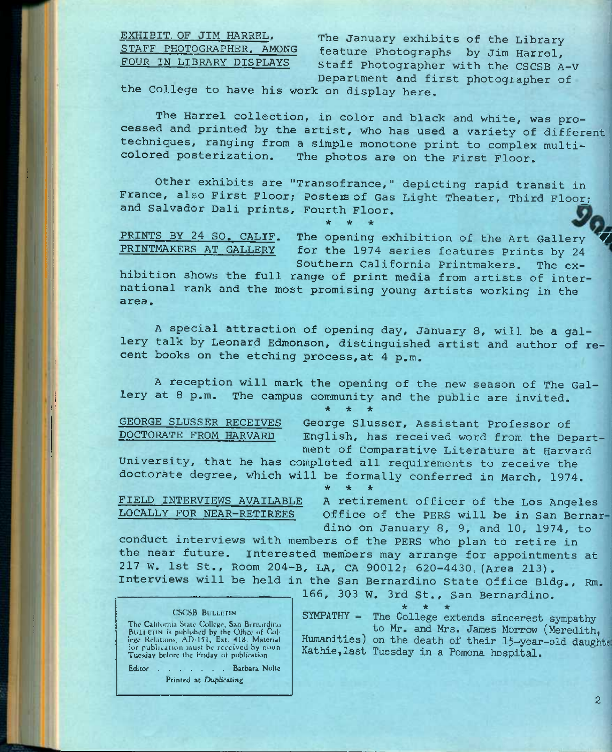EXHIBIT. OF JIM HARREL. STAFF PHOTOGRAPHER, AMONG FOUR IN LIBRARY DISPLAYS

The January exhibits of the Library feature Photographs by Jim Barrel, Staff Photographer with the CSCSB A-V Department and first photographer of

the College to have his work on display here.

The Harrel collection, in color and black and white, was processed and printed by the artist, who has used a variety of different techniques, ranging from a simple monotone print to complex multi-<br>colored posterization. The photos are on the First Floor The photos are on the First Floor.

Other exhibits are "Transofranee," depicting rapid transit in France, also First Floor; Posters of Gas Light Theater, Third Floor; and Salvador Dali prints, Fourth Floor.

PRINTS BY 24 SO. CALIF. The opening exhibition of the Art Gallery PRINTMAKER5 AT GALLERY for the 1974 series features Prints by 24 Southern California Printmakers. The ex-

**\* \* \*** 

hibition shows the full range of print media from artists of international rank and the most promising young artists working in the area.

A special attraction of opening day, January 8, will be a gallery talk by Leonard Edmonson, distinguished artist and author of recent books on the etching process, at 4 p.m.

A reception will mark the opening of the new season of The Gallery at 8 p.m. The campus community and the public are invited.

**\* \* \*** 

GEORGE SLUSSER RECEIVES George Slusser, Assistant Professor of<br>DOCTORATE FROM HARVARD English, has received word from the Der English, has received word from the Department of Comparative Literature at Harvard

University, that he has completed all requirements to receive the doctorate degree, which will be formally conferred in March, 1974, **\* \* \*** 

FIELD INTERVIEWS AVAILABLE A retirement officer of the Los Angeles LOCALLY FOR NEAR-RETIREES Office of the PERS will be in San Bernar dino on January 8, 9, and 10, 1974, to

conduct interviews with members of the PERS who plan to retire in the near future. Interested members may arrange for appointments at 217 W. 1st St., Room 204-B, LA, CA 90012; 620-4430,(Area 213). Interviews will be held in the San Bernardino State Office Bldg., Rm.

### **CSCSB BULLETIN**

The Calitornia State College, San Bernardino BULLETIN is published by the Office of Col-<br>lege Relations, AD-151, Ext. 418. Material<br>for publication must be received by noon Tuesday before the Friday of publication.

Editor . . . . . . Barbara Nolte Printed at Duplicating

**\* \* \***  SYMPATHY - The College extends sincerest sympathy

166, 303 W. 3rd St., San Bernardino,

to Mr. and Mrs. James Morrow (Meredith, Humanities) on the death of their 15-year-old daughte Kathie,last Tuesday in a Pomona hospital.

**2**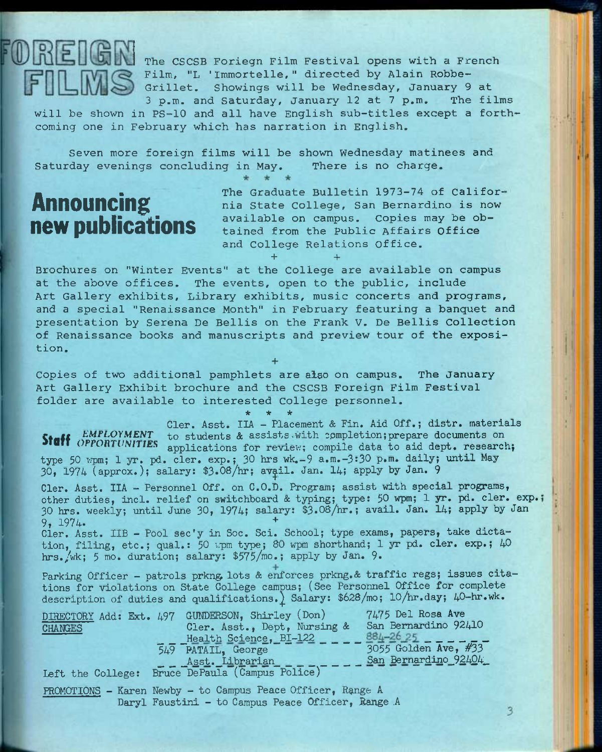

The CSCSB Foriegn Film Festival opens with a French Film, "L 'Immortelle," directed by Alain Robbe-Grillet. Showings will be Wednesday, January 9 at 3 p.m. and Saturday, January 12 at 7 p.m. The films

will be shown in PS-10 and all have English sub-titles except a forthcoming one in February which has narration in English.

Seven more foreign films will be shown Wednesday matinees and Saturday evenings concluding in May. There is no charge.

## Announcing new publications

The Graduate Bulletin 1973-74 of California State College, San Bernardino is now available on campus. Copies may be obtained from the Public Affairs Office and College Relations Office.

3

Brochures on "Winter Events" at the College are available on campus at the above offices. The events, open to the public, include Art Gallery exhibits, Library exhibits, music concerts and programs, and a special "Renaissance Month" in February featuring a banquet and presentation by Serena De Bellis on the Frank V. De Bellis Collection of Renaissance books and manuscripts and preview tour of the exposition.

**+** 

**+ +** 

Copies of two additional pamphlets are aiso on campus. The January Art Gallery Exhibit brochure and the CSCSB Foreign Film Festival folder are available to interested College personnel.

**\* \* \***  Cler. Asst. IIA - Placement & Fin. Aid Off.; distr. materials *EMPLOYMENT* to students & assists with completion; prepare documents on Staff *OPPORTUNITIES* applications for review; compile data to aid dept. research; type 50 wpm; 1 yr. pd. cler. exp.; 30 hrs wk.-9 a.m.-3:30 p.m. daily; until May 30, 1974 (approx.); salary:  $$3.08/hr$ ; avail. Jan. 14; apply by Jan. 9

Cler. Asst. IIA - Personnel Off. on C.O.D. Program; assist with special programs, other duties, incl. relief on switchboard & typing; type: 50 wpm; 1 yr. pd. cler. exp.; 30 hrs. weekly; imtil June 30, 1974; salary: \$3.08/hr.; avail. Jan. 14; apply by Jan 9, 1974. +

Cler. Asst. IIB - Pool sec'y in Soc. Sci. School; type exams, papers, take dictation, filing, etc.; qual.: 50 wpm type; 80 wpm shorthand; 1 yr pd. cler. exp.; 40 hrs./wk; 5 mo. duration; salary:  $$575/m0$ .; apply by Jan. 9.

Parking Officer - patrols prkng lots & enforces prkng. & traffic regs; issues citations for violations on State College campus; (See Personnel Office for complete description of duties and qualifications.) Salary: \$628/mo; 10/hr.day; 40-hr.wk.

| DIRECTORY Add: Ext. 497 | 7475 Del Rosa Ave<br>GUNDERSON, Shirley (Don)               |
|-------------------------|-------------------------------------------------------------|
| <b>CHANGES</b>          | San Bernardino 92410<br>Cler. Asst., Dept, Nursing &        |
|                         | $884 - 2625$ - - - - -<br>Health Science, BI-122            |
|                         | 3055 Golden Ave, #33<br>549 PATAIL, George                  |
|                         | San Bernardino 92404<br>Asst. Librarian                     |
| Left the College:       | Bruce DePaula (Campus Police)                               |
|                         | PROMOTIONS - Karen Newby - to Campus Peace Officer, Range A |

Daryl Faustini - to Campus Peace Officer, Bange A